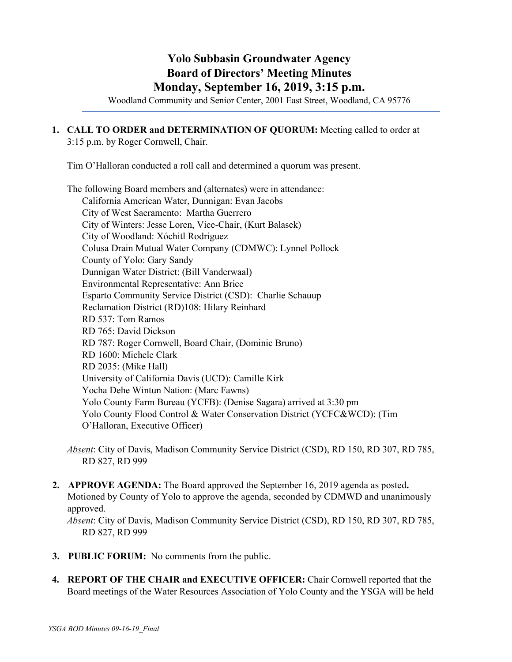# **Yolo Subbasin Groundwater Agency Board of Directors' Meeting Minutes Monday, September 16, 2019, 3:15 p.m.**

Woodland Community and Senior Center, 2001 East Street, Woodland, CA 95776

**1. CALL TO ORDER and DETERMINATION OF QUORUM:** Meeting called to order at 3:15 p.m. by Roger Cornwell, Chair.

Tim O'Halloran conducted a roll call and determined a quorum was present.

The following Board members and (alternates) were in attendance: California American Water, Dunnigan: Evan Jacobs City of West Sacramento: Martha Guerrero City of Winters: Jesse Loren, Vice-Chair, (Kurt Balasek) City of Woodland: Xóchitl Rodriguez Colusa Drain Mutual Water Company (CDMWC): Lynnel Pollock County of Yolo: Gary Sandy Dunnigan Water District: (Bill Vanderwaal) Environmental Representative: Ann Brice Esparto Community Service District (CSD): Charlie Schauup Reclamation District (RD)108: Hilary Reinhard RD 537: Tom Ramos RD 765: David Dickson RD 787: Roger Cornwell, Board Chair, (Dominic Bruno) RD 1600: Michele Clark RD 2035: (Mike Hall) University of California Davis (UCD): Camille Kirk Yocha Dehe Wintun Nation: (Marc Fawns) Yolo County Farm Bureau (YCFB): (Denise Sagara) arrived at 3:30 pm Yolo County Flood Control & Water Conservation District (YCFC&WCD): (Tim O'Halloran, Executive Officer)

*Absent*: City of Davis, Madison Community Service District (CSD), RD 150, RD 307, RD 785, RD 827, RD 999

**2. APPROVE AGENDA:** The Board approved the September 16, 2019 agenda as posted**.**  Motioned by County of Yolo to approve the agenda, seconded by CDMWD and unanimously approved.

*Absent*: City of Davis, Madison Community Service District (CSD), RD 150, RD 307, RD 785, RD 827, RD 999

- **3. PUBLIC FORUM:** No comments from the public.
- **4. REPORT OF THE CHAIR and EXECUTIVE OFFICER:** Chair Cornwell reported that the Board meetings of the Water Resources Association of Yolo County and the YSGA will be held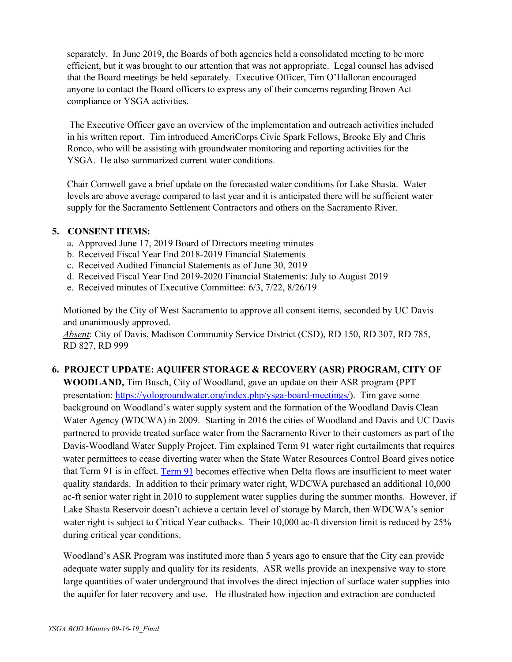separately. In June 2019, the Boards of both agencies held a consolidated meeting to be more efficient, but it was brought to our attention that was not appropriate. Legal counsel has advised that the Board meetings be held separately. Executive Officer, Tim O'Halloran encouraged anyone to contact the Board officers to express any of their concerns regarding Brown Act compliance or YSGA activities.

The Executive Officer gave an overview of the implementation and outreach activities included in his written report. Tim introduced AmeriCorps Civic Spark Fellows, Brooke Ely and Chris Ronco, who will be assisting with groundwater monitoring and reporting activities for the YSGA. He also summarized current water conditions.

Chair Cornwell gave a brief update on the forecasted water conditions for Lake Shasta. Water levels are above average compared to last year and it is anticipated there will be sufficient water supply for the Sacramento Settlement Contractors and others on the Sacramento River.

#### **5. CONSENT ITEMS:**

- a. Approved June 17, 2019 Board of Directors meeting minutes
- b. Received Fiscal Year End 2018-2019 Financial Statements
- c. Received Audited Financial Statements as of June 30, 2019
- d. Received Fiscal Year End 2019-2020 Financial Statements: July to August 2019
- e. Received minutes of Executive Committee: 6/3, 7/22, 8/26/19

Motioned by the City of West Sacramento to approve all consent items, seconded by UC Davis and unanimously approved.

*Absent*: City of Davis, Madison Community Service District (CSD), RD 150, RD 307, RD 785, RD 827, RD 999

## **6. PROJECT UPDATE: AQUIFER STORAGE & RECOVERY (ASR) PROGRAM, CITY OF**

**WOODLAND,** Tim Busch, City of Woodland, gave an update on their ASR program (PPT presentation: [https://yologroundwater.org/index.php/ysga-board-meetings/\)](https://yologroundwater.org/index.php/ysga-board-meetings/). Tim gave some background on Woodland's water supply system and the formation of the Woodland Davis Clean Water Agency (WDCWA) in 2009. Starting in 2016 the cities of Woodland and Davis and UC Davis partnered to provide treated surface water from the Sacramento River to their customers as part of the Davis-Woodland Water Supply Project. Tim explained Term 91 water right curtailments that requires water permittees to cease diverting water when the State Water Resources Control Board gives notice that Term 91 is in effect. [Term 91](https://mavensnotebook.com/2012/12/20/report-summary-term-91-and-delta-flow-requirements/) becomes effective when Delta flows are insufficient to meet water quality standards. In addition to their primary water right, WDCWA purchased an additional 10,000 ac-ft senior water right in 2010 to supplement water supplies during the summer months. However, if Lake Shasta Reservoir doesn't achieve a certain level of storage by March, then WDCWA's senior water right is subject to Critical Year cutbacks. Their 10,000 ac-ft diversion limit is reduced by 25% during critical year conditions.

Woodland's ASR Program was instituted more than 5 years ago to ensure that the City can provide adequate water supply and quality for its residents. ASR wells provide an inexpensive way to store large quantities of water underground that involves the direct injection of surface water supplies into the aquifer for later recovery and use. He illustrated how injection and extraction are conducted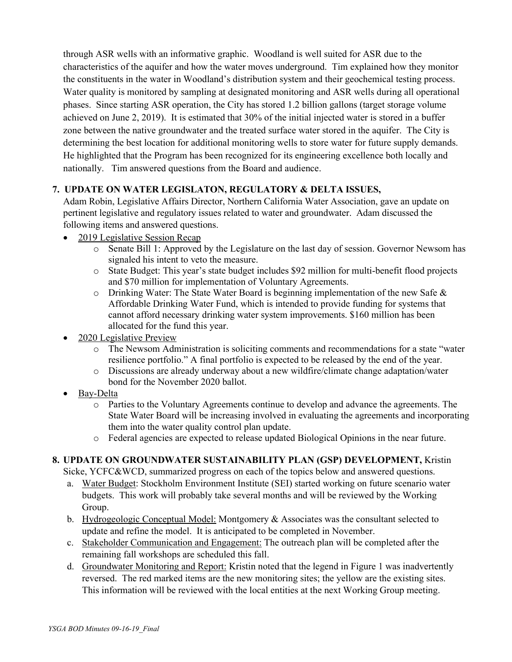through ASR wells with an informative graphic. Woodland is well suited for ASR due to the characteristics of the aquifer and how the water moves underground. Tim explained how they monitor the constituents in the water in Woodland's distribution system and their geochemical testing process. Water quality is monitored by sampling at designated monitoring and ASR wells during all operational phases. Since starting ASR operation, the City has stored 1.2 billion gallons (target storage volume achieved on June 2, 2019). It is estimated that 30% of the initial injected water is stored in a buffer zone between the native groundwater and the treated surface water stored in the aquifer. The City is determining the best location for additional monitoring wells to store water for future supply demands. He highlighted that the Program has been recognized for its engineering excellence both locally and nationally. Tim answered questions from the Board and audience.

### **7. UPDATE ON WATER LEGISLATON, REGULATORY & DELTA ISSUES,**

Adam Robin, Legislative Affairs Director, Northern California Water Association, gave an update on pertinent legislative and regulatory issues related to water and groundwater. Adam discussed the following items and answered questions.

- 2019 Legislative Session Recap
	- o Senate Bill 1: Approved by the Legislature on the last day of session. Governor Newsom has signaled his intent to veto the measure.
	- o State Budget: This year's state budget includes \$92 million for multi-benefit flood projects and \$70 million for implementation of Voluntary Agreements.
	- $\circ$  Drinking Water: The State Water Board is beginning implementation of the new Safe & Affordable Drinking Water Fund, which is intended to provide funding for systems that cannot afford necessary drinking water system improvements. \$160 million has been allocated for the fund this year.
- 2020 Legislative Preview
	- o The Newsom Administration is soliciting comments and recommendations for a state "water resilience portfolio." A final portfolio is expected to be released by the end of the year.
	- o Discussions are already underway about a new wildfire/climate change adaptation/water bond for the November 2020 ballot.
- Bay-Delta
	- o Parties to the Voluntary Agreements continue to develop and advance the agreements. The State Water Board will be increasing involved in evaluating the agreements and incorporating them into the water quality control plan update.
	- o Federal agencies are expected to release updated Biological Opinions in the near future.

### **8. UPDATE ON GROUNDWATER SUSTAINABILITY PLAN (GSP) DEVELOPMENT,** Kristin

Sicke, YCFC&WCD, summarized progress on each of the topics below and answered questions.

- a. Water Budget: Stockholm Environment Institute (SEI) started working on future scenario water budgets. This work will probably take several months and will be reviewed by the Working Group.
- b. Hydrogeologic Conceptual Model: Montgomery & Associates was the consultant selected to update and refine the model. It is anticipated to be completed in November.
- c. Stakeholder Communication and Engagement: The outreach plan will be completed after the remaining fall workshops are scheduled this fall.
- d. Groundwater Monitoring and Report: Kristin noted that the legend in Figure 1 was inadvertently reversed. The red marked items are the new monitoring sites; the yellow are the existing sites. This information will be reviewed with the local entities at the next Working Group meeting.